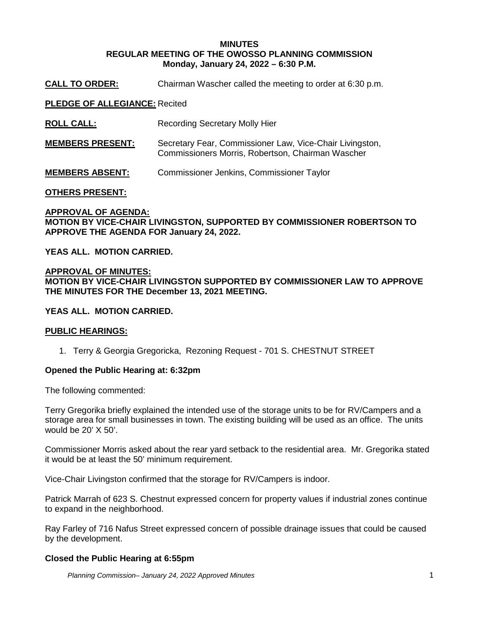## **MINUTES REGULAR MEETING OF THE OWOSSO PLANNING COMMISSION Monday, January 24, 2022 – 6:30 P.M.**

**CALL TO ORDER:** Chairman Wascher called the meeting to order at 6:30 p.m.

### **PLEDGE OF ALLEGIANCE:** Recited

| <b>ROLL CALL:</b> | <b>Recording Secretary Molly Hier</b> |
|-------------------|---------------------------------------|
|-------------------|---------------------------------------|

- **MEMBERS PRESENT:** Secretary Fear, Commissioner Law, Vice-Chair Livingston, Commissioners Morris, Robertson, Chairman Wascher
- **MEMBERS ABSENT:** Commissioner Jenkins, Commissioner Taylor

### **OTHERS PRESENT:**

# **APPROVAL OF AGENDA: MOTION BY VICE-CHAIR LIVINGSTON, SUPPORTED BY COMMISSIONER ROBERTSON TO APPROVE THE AGENDA FOR January 24, 2022.**

**YEAS ALL. MOTION CARRIED.**

## **APPROVAL OF MINUTES: MOTION BY VICE-CHAIR LIVINGSTON SUPPORTED BY COMMISSIONER LAW TO APPROVE THE MINUTES FOR THE December 13, 2021 MEETING.**

### **YEAS ALL. MOTION CARRIED.**

### **PUBLIC HEARINGS:**

1. Terry & Georgia Gregoricka, Rezoning Request - 701 S. CHESTNUT STREET

### **Opened the Public Hearing at: 6:32pm**

The following commented:

Terry Gregorika briefly explained the intended use of the storage units to be for RV/Campers and a storage area for small businesses in town. The existing building will be used as an office. The units would be 20' X 50'.

Commissioner Morris asked about the rear yard setback to the residential area. Mr. Gregorika stated it would be at least the 50' minimum requirement.

Vice-Chair Livingston confirmed that the storage for RV/Campers is indoor.

Patrick Marrah of 623 S. Chestnut expressed concern for property values if industrial zones continue to expand in the neighborhood.

Ray Farley of 716 Nafus Street expressed concern of possible drainage issues that could be caused by the development.

### **Closed the Public Hearing at 6:55pm**

*Planning Commission– January 24, 2022 Approved Minutes* 1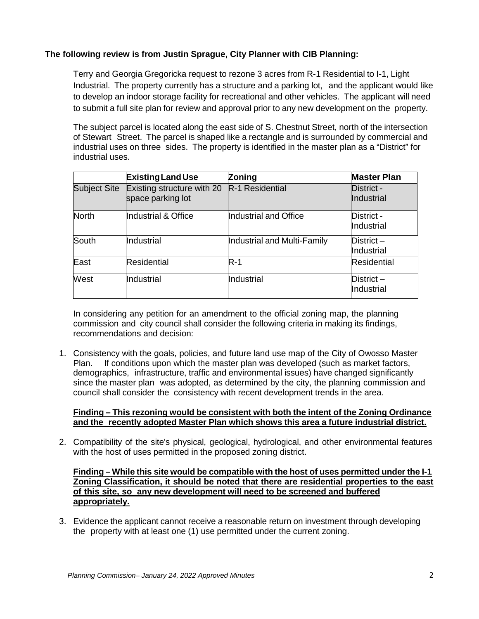# **The following review is from Justin Sprague, City Planner with CIB Planning:**

Terry and Georgia Gregoricka request to rezone 3 acres from R-1 Residential to I-1, Light Industrial. The property currently has a structure and a parking lot, and the applicant would like to develop an indoor storage facility for recreational and other vehicles. The applicant will need to submit a full site plan for review and approval prior to any new development on the property.

The subject parcel is located along the east side of S. Chestnut Street, north of the intersection of Stewart Street. The parcel is shaped like a rectangle and is surrounded by commercial and industrial uses on three sides. The property is identified in the master plan as a "District" for industrial uses.

|              | <b>Existing Land Use</b>                        | Zoning                      | <b>Master Plan</b>       |
|--------------|-------------------------------------------------|-----------------------------|--------------------------|
| Subject Site | Existing structure with 20<br>space parking lot | R-1 Residential             | District -<br>Industrial |
| <b>North</b> | Industrial & Office                             | Industrial and Office       | District -<br>Industrial |
| South        | Industrial                                      | Industrial and Multi-Family | District-<br>Industrial  |
| East         | Residential                                     | $R-1$                       | <b>Residential</b>       |
| West         | Industrial                                      | Industrial                  | District-<br>Industrial  |

In considering any petition for an amendment to the official zoning map, the planning commission and city council shall consider the following criteria in making its findings, recommendations and decision:

1. Consistency with the goals, policies, and future land use map of the City of Owosso Master Plan. If conditions upon which the master plan was developed (such as market factors, demographics, infrastructure, traffic and environmental issues) have changed significantly since the master plan was adopted, as determined by the city, the planning commission and council shall consider the consistency with recent development trends in the area.

## **Finding – This rezoning would be consistent with both the intent of the Zoning Ordinance and the recently adopted Master Plan which shows this area a future industrial district.**

2. Compatibility of the site's physical, geological, hydrological, and other environmental features with the host of uses permitted in the proposed zoning district.

## **Finding – While this site would be compatible with the host of uses permitted under the I-1 Zoning Classification, it should be noted that there are residential properties to the east of this site, so any new development will need to be screened and buffered appropriately.**

3. Evidence the applicant cannot receive a reasonable return on investment through developing the property with at least one (1) use permitted under the current zoning.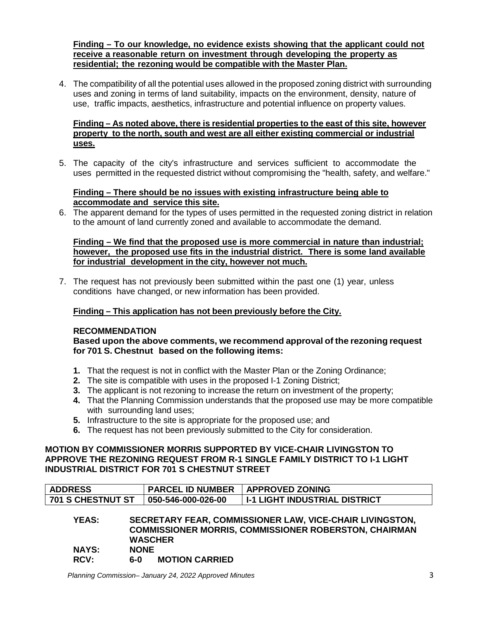**Finding – To our knowledge, no evidence exists showing that the applicant could not receive a reasonable return on investment through developing the property as residential; the rezoning would be compatible with the Master Plan.**

4. The compatibility of all the potential uses allowed in the proposed zoning district with surrounding uses and zoning in terms of land suitability, impacts on the environment, density, nature of use, traffic impacts, aesthetics, infrastructure and potential influence on property values.

## **Finding – As noted above, there is residential properties to the east of this site, however property to the north, south and west are all either existing commercial or industrial uses.**

5. The capacity of the city's infrastructure and services sufficient to accommodate the uses permitted in the requested district without compromising the "health, safety, and welfare."

## **Finding – There should be no issues with existing infrastructure being able to accommodate and service this site.**

6. The apparent demand for the types of uses permitted in the requested zoning district in relation to the amount of land currently zoned and available to accommodate the demand.

## **Finding – We find that the proposed use is more commercial in nature than industrial; however, the proposed use fits in the industrial district. There is some land available for industrial development in the city, however not much.**

7. The request has not previously been submitted within the past one (1) year, unless conditions have changed, or new information has been provided.

# **Finding – This application has not been previously before the City.**

# **RECOMMENDATION**

**Based upon the above comments, we recommend approval of the rezoning request for 701 S. Chestnut based on the following items:**

- **1.** That the request is not in conflict with the Master Plan or the Zoning Ordinance;
- **2.** The site is compatible with uses in the proposed I-1 Zoning District;
- **3.** The applicant is not rezoning to increase the return on investment of the property;
- **4.** That the Planning Commission understands that the proposed use may be more compatible with surrounding land uses:
- **5.** Infrastructure to the site is appropriate for the proposed use; and
- **6.** The request has not been previously submitted to the City for consideration.

## **MOTION BY COMMISSIONER MORRIS SUPPORTED BY VICE-CHAIR LIVINGSTON TO APPROVE THE REZONING REQUEST FROM R-1 SINGLE FAMILY DISTRICT TO I-1 LIGHT INDUSTRIAL DISTRICT FOR 701 S CHESTNUT STREET**

| <b>ADDRESS</b>                                                           | <b>PARCEL ID NUMBER</b> | <b>APPROVED ZONING</b>                                       |  |  |  |
|--------------------------------------------------------------------------|-------------------------|--------------------------------------------------------------|--|--|--|
| 701 S CHESTNUT ST                                                        | 050-546-000-026-00      | I I-1 LIGHT INDUSTRIAL DISTRICT                              |  |  |  |
| SECRETARY FEAR, COMMISSIONER LAW, VICE-CHAIR LIVINGSTON,<br><b>YEAS:</b> |                         |                                                              |  |  |  |
|                                                                          |                         | <b>COMMISSIONER MORRIS, COMMISSIONER ROBERSTON, CHAIRMAN</b> |  |  |  |

|              | <b>WASCHER</b> |  |
|--------------|----------------|--|
| <b>NAYS:</b> | <b>NONE</b>    |  |

**RCV: 6-0 MOTION CARRIED**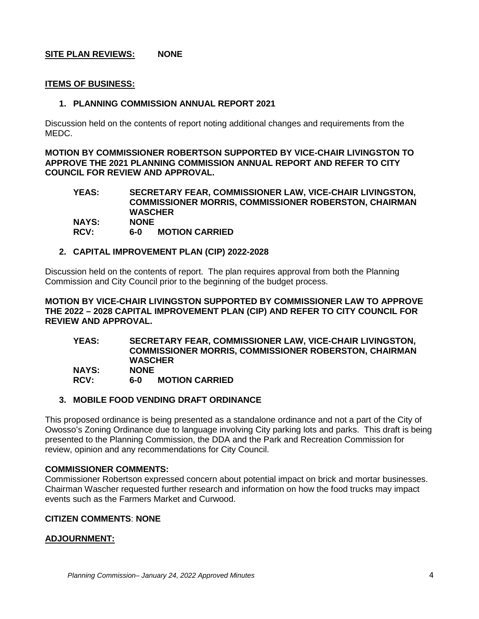# **SITE PLAN REVIEWS: NONE**

## **ITEMS OF BUSINESS:**

### **1. PLANNING COMMISSION ANNUAL REPORT 2021**

Discussion held on the contents of report noting additional changes and requirements from the MEDC.

**MOTION BY COMMISSIONER ROBERTSON SUPPORTED BY VICE-CHAIR LIVINGSTON TO APPROVE THE 2021 PLANNING COMMISSION ANNUAL REPORT AND REFER TO CITY COUNCIL FOR REVIEW AND APPROVAL.**

**YEAS: SECRETARY FEAR, COMMISSIONER LAW, VICE-CHAIR LIVINGSTON, COMMISSIONER MORRIS, COMMISSIONER ROBERSTON, CHAIRMAN WASCHER**  $NAYS:$ **RCV: 6-0 MOTION CARRIED** 

### **2. CAPITAL IMPROVEMENT PLAN (CIP) 2022-2028**

Discussion held on the contents of report. The plan requires approval from both the Planning Commission and City Council prior to the beginning of the budget process.

**MOTION BY VICE-CHAIR LIVINGSTON SUPPORTED BY COMMISSIONER LAW TO APPROVE THE 2022 – 2028 CAPITAL IMPROVEMENT PLAN (CIP) AND REFER TO CITY COUNCIL FOR REVIEW AND APPROVAL.**

**YEAS: SECRETARY FEAR, COMMISSIONER LAW, VICE-CHAIR LIVINGSTON, COMMISSIONER MORRIS, COMMISSIONER ROBERSTON, CHAIRMAN WASCHER**  $NAYS:$ **RCV: 6-0 MOTION CARRIED** 

## **3. MOBILE FOOD VENDING DRAFT ORDINANCE**

This proposed ordinance is being presented as a standalone ordinance and not a part of the City of Owosso's Zoning Ordinance due to language involving City parking lots and parks. This draft is being presented to the Planning Commission, the DDA and the Park and Recreation Commission for review, opinion and any recommendations for City Council.

### **COMMISSIONER COMMENTS:**

Commissioner Robertson expressed concern about potential impact on brick and mortar businesses. Chairman Wascher requested further research and information on how the food trucks may impact events such as the Farmers Market and Curwood.

### **CITIZEN COMMENTS**: **NONE**

# **ADJOURNMENT:**